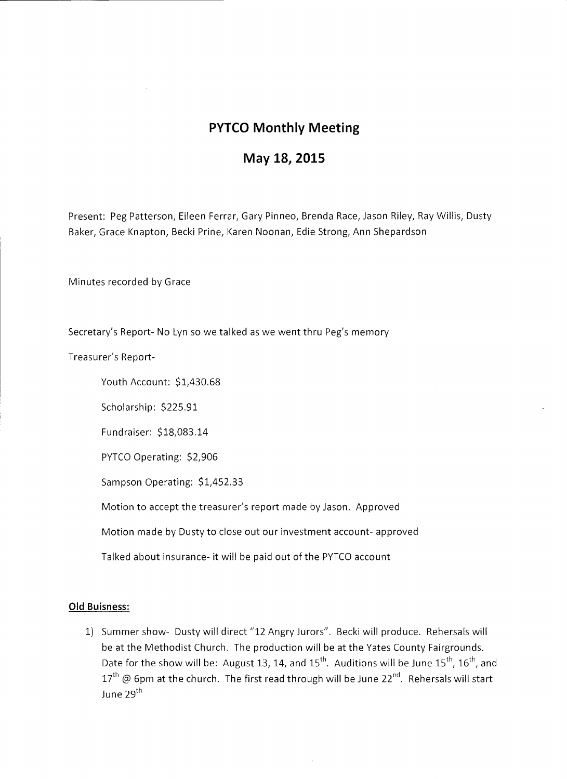## **PYTCO Monthly Meeting**

## **May 18, 2015**

Present: Peg Patterson, Eileen Ferrar, Gary Pinneo, Brenda Race, Jason Riley, Ray Willis, Dusty Baker, Grace Knapton, Becki Prine, Karen Noonan, Edie Strong, Ann Shepardson

Minutes recorded by Grace

Secretary's Report- No Lyn so we talked as we went thru Peg's memory

Treasurer's Report-

Youth Account: \$1,430.68

Scholarship: \$225.91

Fundraiser: \$18,083.14

PYTCO Operating: \$2,906

Sampson Operating: \$1,452.33

Motion to accept the treasurer's report made by Jason. Approved

Motion made by Dusty to close out our investment account- approved

Talked about insurance- it will be paid out of the PYTCO account

## **Old Buisness:**

1) Summer show- Dusty will direct "12 Angry Jurors". Becki will produce. Rehersals will be at the Methodist Church. The production will be at the Yates County Fairgrounds. Date for the show will be: August 13, 14, and  $15^{th}$ . Auditions will be June  $15^{th}$ ,  $16^{th}$ , and  $17<sup>th</sup>$  @ 6pm at the church. The first read through will be June 22<sup>nd</sup>. Rehersals will start June 29<sup>th</sup>